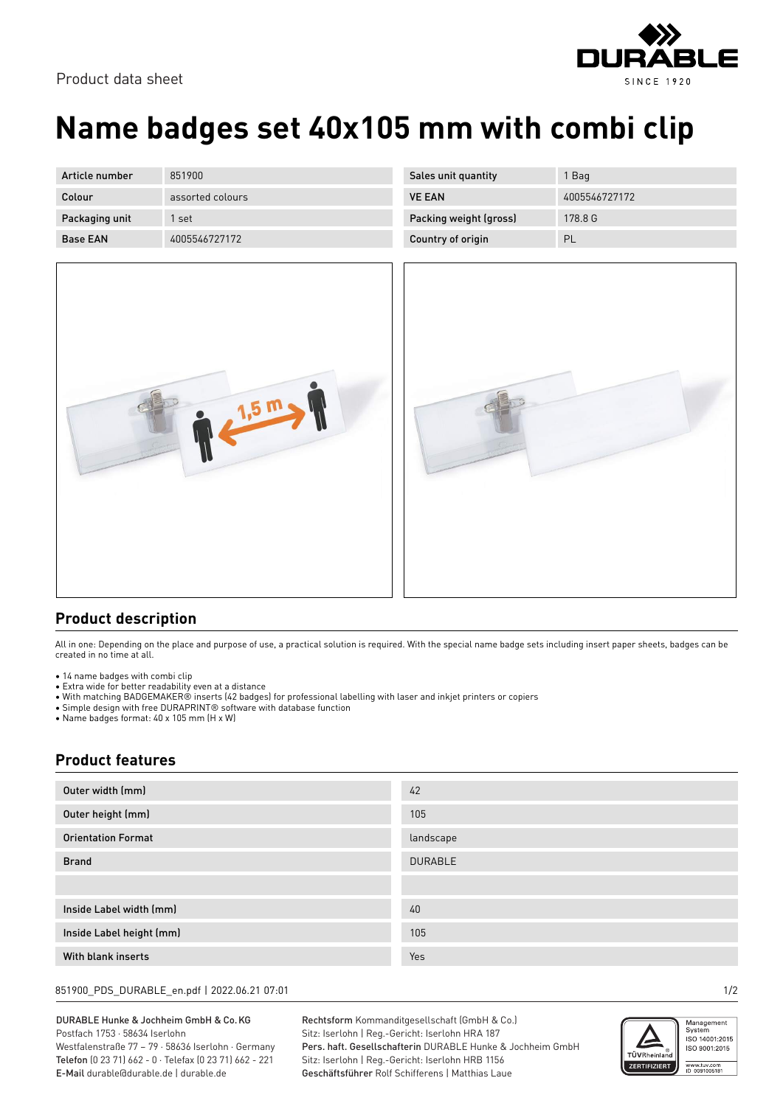## Product data sheet



| Article number  | 851900           |
|-----------------|------------------|
| Colour          | assorted colours |
| Packaging unit  | 1 set            |
| <b>Base FAN</b> | 4005546727172    |

| 4005546727172 |
|---------------|
| 178.8 G       |
| PL            |
|               |



|--|

## **Product description**

All in one: Depending on the place and purpose of use, a practical solution is required. With the special name badge sets including insert paper sheets, badges can be created in no time at all.

- 14 name badges with combi clip
- Extra wide for better readability even at a distance
- With matching BADGEMAKER® inserts (42 badges) for professional labelling with laser and inkjet printers or copiers
- Simple design with free DURAPRINT® software with database function

• Name badges format: 40 x 105 mm (H x W)

## **Product features**

| Outer width (mm)          | 42             |
|---------------------------|----------------|
| Outer height (mm)         | 105            |
| <b>Orientation Format</b> | landscape      |
| <b>Brand</b>              | <b>DURABLE</b> |
|                           |                |
| Inside Label width (mm)   | 40             |
| Inside Label height (mm)  | 105            |
| With blank inserts        | Yes            |

851900\_PDS\_DURABLE\_en.pdf | 2022.06.21 07:01 1/2

DURABLE Hunke & Jochheim GmbH & Co.KG Postfach 1753 · 58634 Iserlohn Westfalenstraße 77 – 79 · 58636 Iserlohn · Germany

Telefon (0 23 71) 662 - 0 · Telefax (0 23 71) 662 - 221 E-Mail durable@durable.de | durable.de

Rechtsform Kommanditgesellschaft (GmbH & Co.) Sitz: Iserlohn | Reg.-Gericht: Iserlohn HRA 187 Pers. haft. Gesellschafterin DURABLE Hunke & Jochheim GmbH Sitz: Iserlohn | Reg.-Gericht: Iserlohn HRB 1156 Geschäftsführer Rolf Schifferens | Matthias Laue